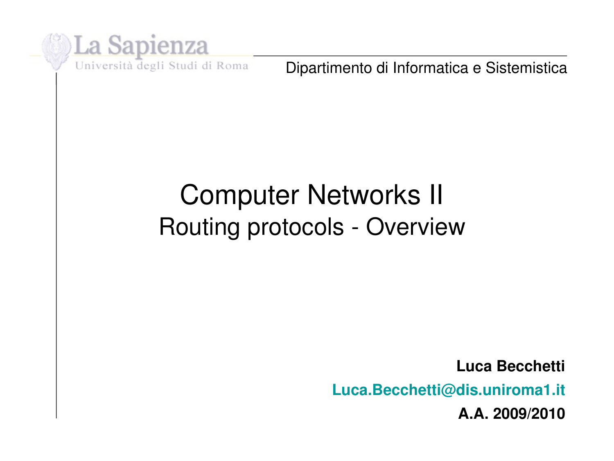

Dipartimento di Informatica e Sistemistica

### Computer Networks II Routing protocols - Overview

**Luca Becchetti Luca.Becchetti@dis.uniroma1.it A.A. 2009/2010**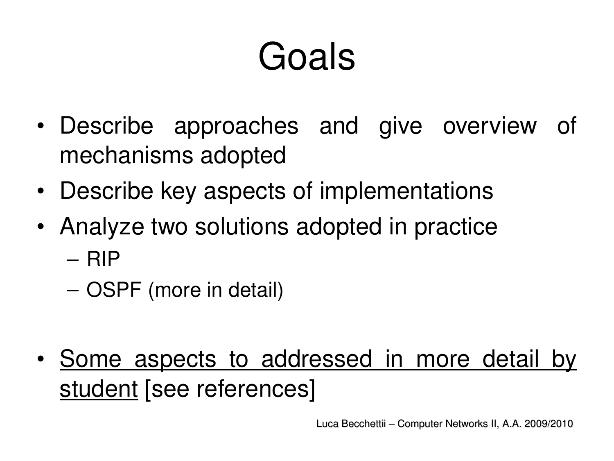# Goals

- Describe approaches and give overview of mechanisms adopted
- Describe key aspects of implementations
- Analyze two solutions adopted in practice – RIP
	- OSPF (more in detail)
- Some aspects to addressed in more detail by student [see references]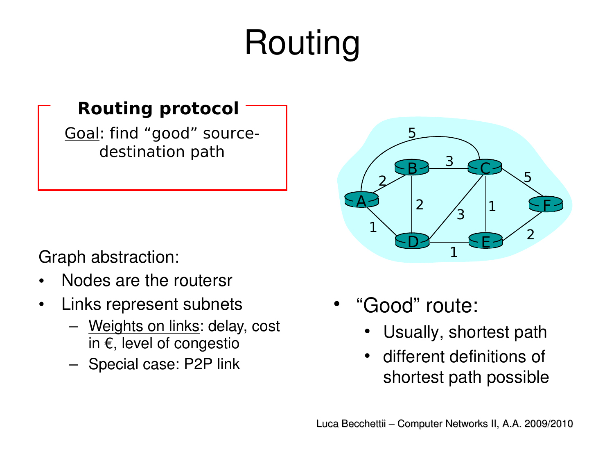## Routing

#### **Routing protocol**

Goal: find "good" sourcedestination path

Graph abstraction:

- Nodes are the routersr
- Links represent subnets
	- Weights on links: delay, cost in €, level of congestio
	- Special case: P2P link



- "Good" route:
	- Usually, shortest path
	- different definitions of shortest path possible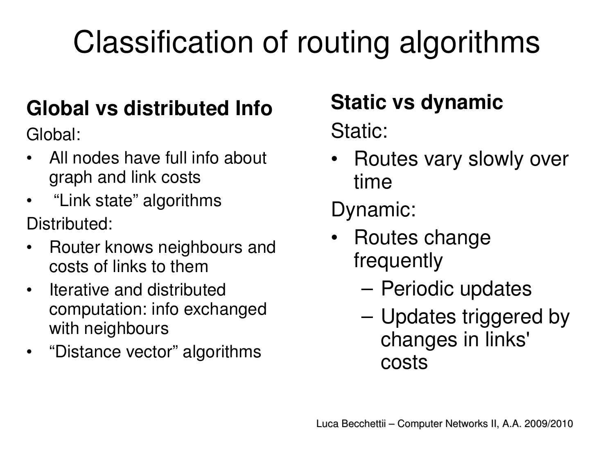## Classification of routing algorithms

#### **Global vs distributed Info**

Global:

- All nodes have full info about graph and link costs
- "Link state" algorithms Distributed:
- Router knows neighbours and costs of links to them
- Iterative and distributed computation: info exchanged with neighbours
- $\bullet$ "Distance vector" algorithms

### **Static vs dynamic**

Static:

• Routes vary slowly over time

Dynamic:

- Routes change frequently
	- Periodic updates
	- Updates triggered by changes in links' costs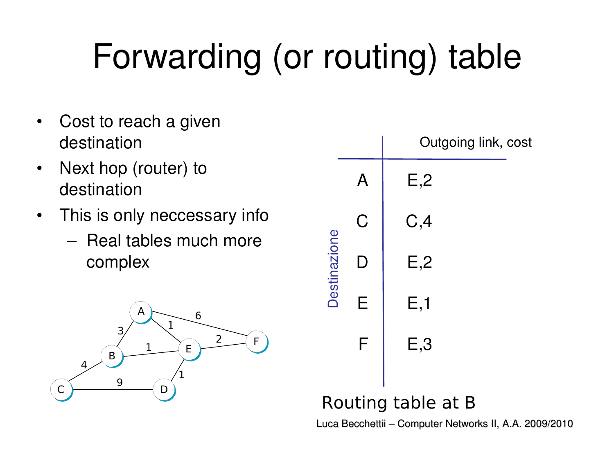## Forwarding (or routing) table

- Cost to reach a given destination
- Next hop (router) to destination
- This is only neccessary info
	- Real tables much more complex



|                    |    | Outgoing link, cost |  |  |  |
|--------------------|----|---------------------|--|--|--|
| Destinazione       |    | E, 2                |  |  |  |
|                    | C  | C, 4                |  |  |  |
|                    | L) | E,2                 |  |  |  |
|                    | E  | E, 1                |  |  |  |
|                    | F  | E,3                 |  |  |  |
| Routing table at B |    |                     |  |  |  |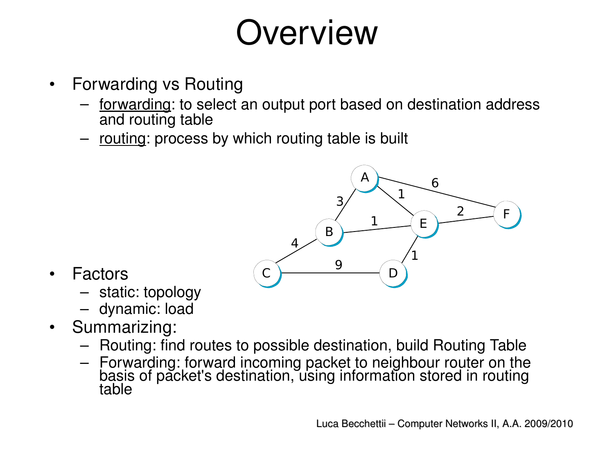## **Overview**

- Forwarding vs Routing
	- forwarding: to select an output port based on destination address and routing table
	- routing: process by which routing table is built



- **Factors** 
	- static: topology
	- dynamic: load
- Summarizing:
	- Routing: find routes to possible destination, build Routing Table
	- Forwarding: forward incoming packet to neighbour router on the basis of packet's destination, using information stored in routing table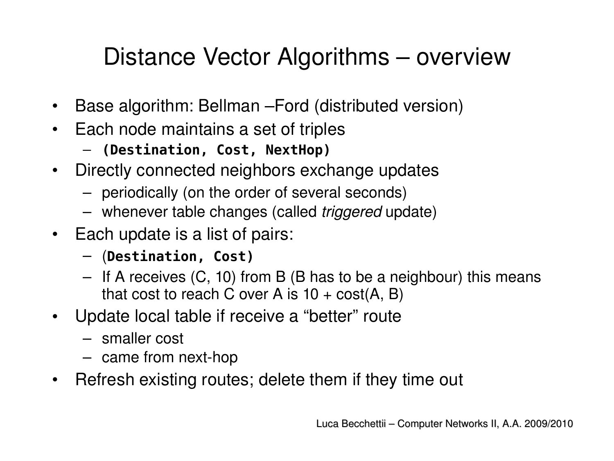#### Distance Vector Algorithms – overview

- Base algorithm: Bellman –Ford (distributed version)
- Each node maintains a set of triples
	- **(Destination, Cost, NextHop)**
- Directly connected neighbors exchange updates
	- periodically (on the order of several seconds)
	- whenever table changes (called *triggered* update)
- Each update is a list of pairs:
	- (**Destination, Cost)**
	- If A receives (C, 10) from B (B has to be a neighbour) this means that cost to reach C over A is  $10 + \text{cost}(A, B)$
- Update local table if receive a "better" route
	- smaller cost
	- $-$  came from next-hop
- Refresh existing routes; delete them if they time out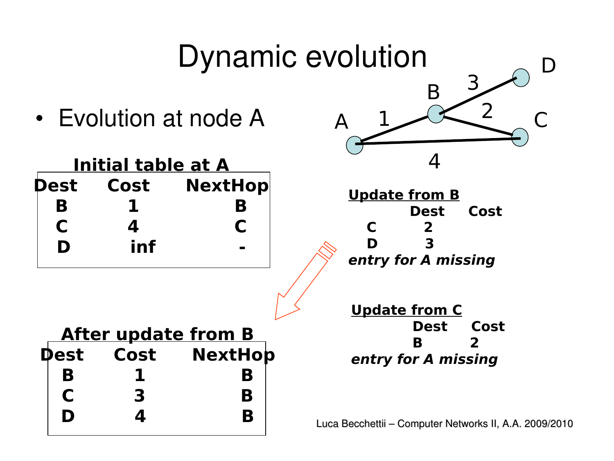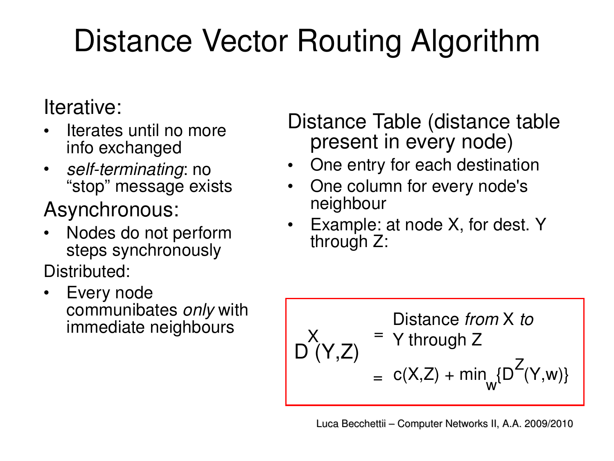### Distance Vector Routing Algorithm

#### Iterative:

- Iterates until no more info exchanged
- self-terminating: no "stop" message exists

#### Asynchronous:

- Nodes do not perform steps synchronously Distributed:
- Every node communibates *only* with immediate neighbours

Distance Table (distance table present in every node)

- One entry for each destination
- One column for every node's neighbour
- Example: at node X, for dest. Y through Z:

$$
X_{(Y,Z)} = \begin{cases} \text{Distance from X to} \\ D(Y,Z) = c(X,Z) + \min_{W} \{D^{Z}(Y,w)\} \end{cases}
$$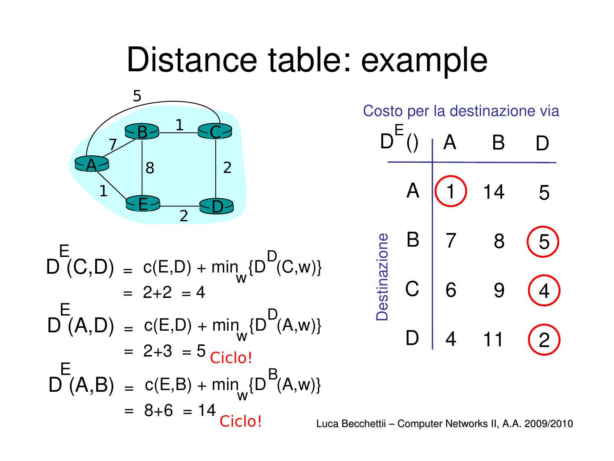### Distance table: example



$$
E = D(C, D) = c(E, D) + min_{w} {DD(C, w)}
$$
  
= 2+2 = 4  

$$
DE(A, D) = c(E, D) + min_{w} {DD(A, w)}
$$
  
= 2+3 = 5<sub>Ciclo!</sub>  

$$
DE(A, B) = c(E, B) + min_{w} {DB(A, w)}
$$
  
= 8+6 = 14<sub>Ciclo!</sub>

Costo per la destinazione via

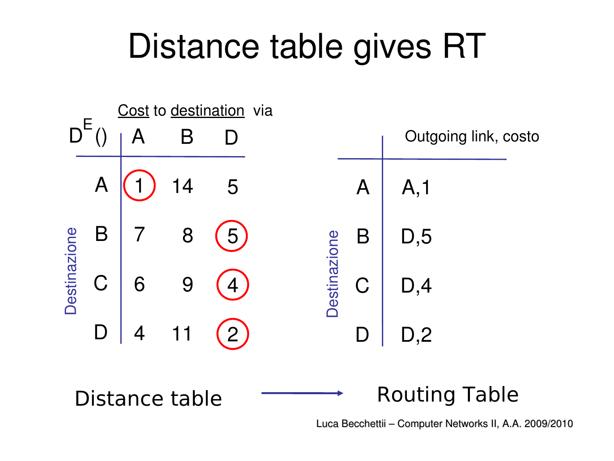## Distance table gives RT

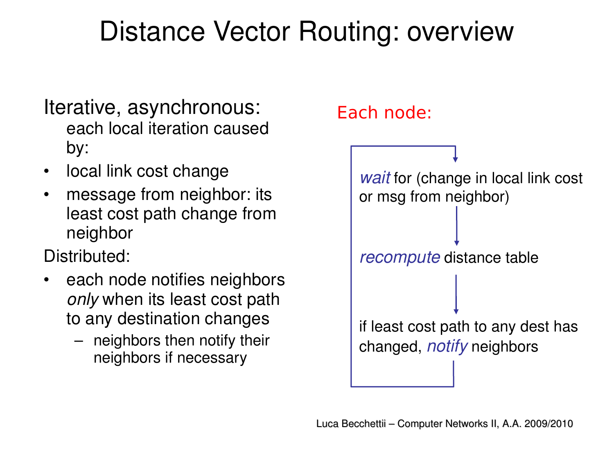### Distance Vector Routing: overview

- Iterative, asynchronous: each local iteration caused by:
- local link cost change
- message from neighbor: its least cost path change from neighbor

Distributed:

- each node notifies neighbors *only* when its least cost path to any destination changes
	- neighbors then notify their neighbors if necessary

#### Each node:

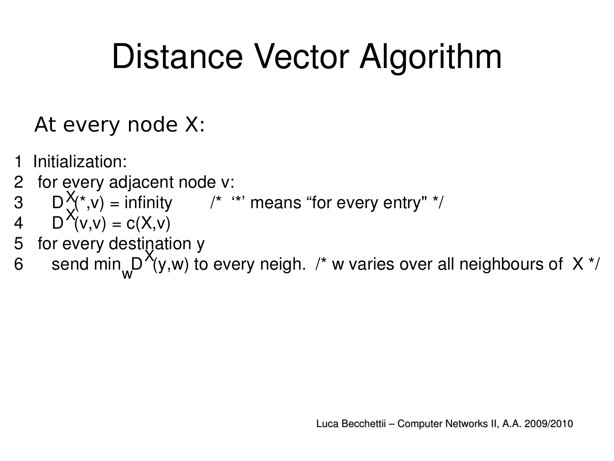## Distance Vector Algorithm

#### At every node X:

- Initialization:
- 2 for every adjacent node v:
- $\mathsf{D}\left(\bigvee^* V\right)$  = infinity  $\qquad$  /\* '\*' means "for every entry" \*/  $\mathsf{X}_{\!\mathsf{p}}$
- 4  $D''(v,v) = c(X,v)$ X
- 5 for every destination y
- 6 send min  $D'(y,w)$  to every neigh. /\* w varies over all neighbours of X \*/  $\bm{\mathsf{X}}$ w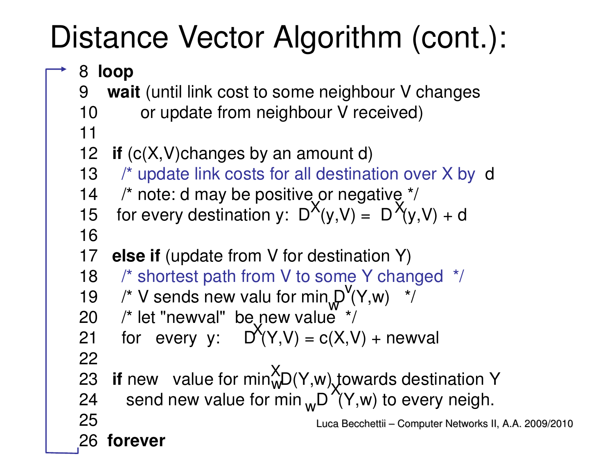### Distance Vector Algorithm (cont.):

#### 8 **loop**

- 9 **wait** (until link cost to some neighbour V changes
- 10 or update from neighbour V received)
- 11
- 12 **if** (c(X,V)changes by an amount d)
- 13 /\* update link costs for all destination over X by d
- 14  $\prime$ \* note: d may be positive or negative \*/
- 15 for every destination y:  $D^{(1)}(y, V) = D^{(1)}(y, V) + d$  $X'_{(V, V)}$   $\overline{X}$
- 16
- 17 **else if** (update from V for destination Y)
- 18 /\* shortest path from V to some Y changed \*/
- 19  $\prime$ \* V sends new valu for min  $D'(Y,w)$  \*/ w **v**
- 20  $\frac{\pi}{20}$  /\* let "newval" be new value  $\frac{\pi}{2}$
- 21 for every  $y$ :  $D'(Y,V) = c(X,V) + newval$ 22  $\mathsf{X}% _{0}^{X\left( t\right) }$
- 23 **if** new value for min $W<sub>W</sub>D(Y,w)$  towards destination Y X w
- 24 send new value for min D (Y,w) to every neigh. X w

```
Luca Becchettii – Computer Networks II, A.A. 2009/2010
```
26 **forever**

25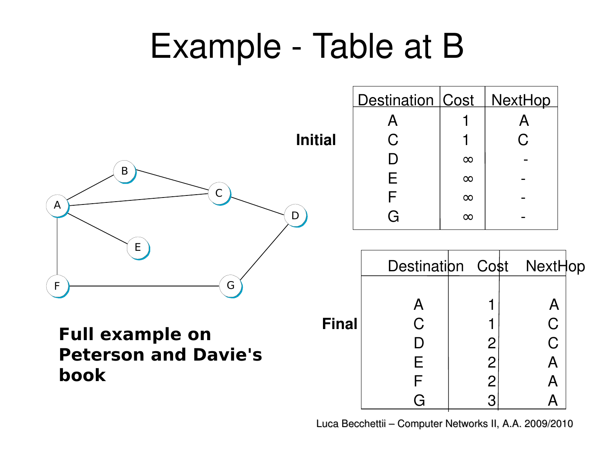## Example - Table at B



**Full example on Peterson and Davie's book**

|                | Destination   Cost | $\overline{1}$ | <u>NextHop</u> |  |
|----------------|--------------------|----------------|----------------|--|
|                | Α                  |                |                |  |
| <b>Initial</b> | C                  |                | C              |  |
|                |                    | $\infty$       |                |  |
|                | F                  | $\infty$       |                |  |
|                |                    | $\infty$       |                |  |
| D              |                    | $\infty$       |                |  |

|              |   |                | Destination Cost NextHop |  |
|--------------|---|----------------|--------------------------|--|
|              |   |                |                          |  |
| <b>Final</b> | Ć |                | A<br>$\overline{C}$      |  |
|              |   | $\overline{2}$ | Ć                        |  |
|              | Е | $\overline{2}$ | A                        |  |
|              |   | $\overline{2}$ |                          |  |
|              |   | 3              |                          |  |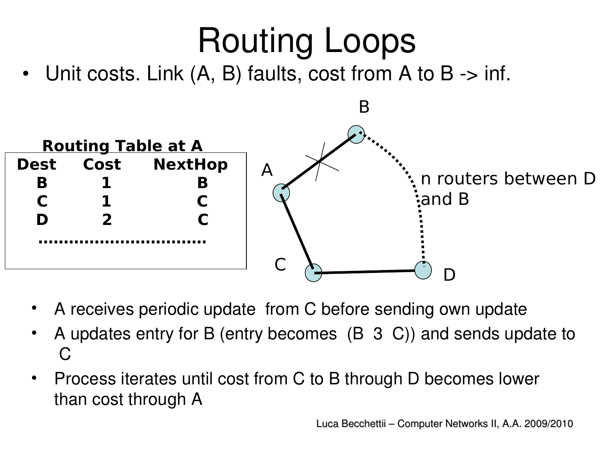# Routing Loops

Unit costs. Link  $(A, B)$  faults, cost from A to B  $\rightarrow$  inf.



- A receives periodic update from C before sending own update
- A updates entry for B (entry becomes (B 3 C)) and sends update to  $\Gamma$
- Process iterates until cost from C to B through D becomes lower than cost through A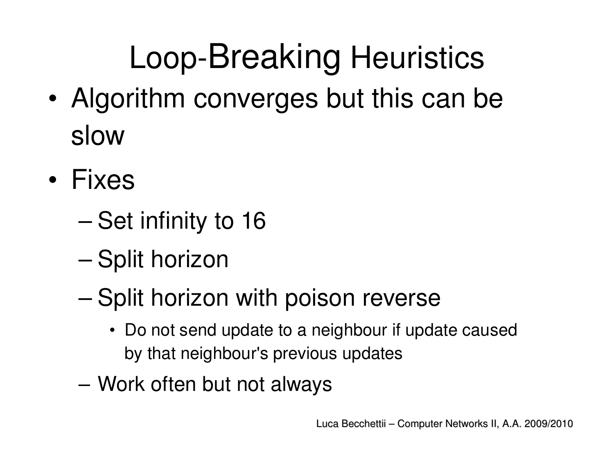## Loop-Breaking Heuristics

- Algorithm converges but this can be slow
- Fixes
	- Set infinity to 16
	- Split horizon
	- Split horizon with poison reverse
		- Do not send update to a neighbour if update caused by that neighbour's previous updates
	- Work often but not always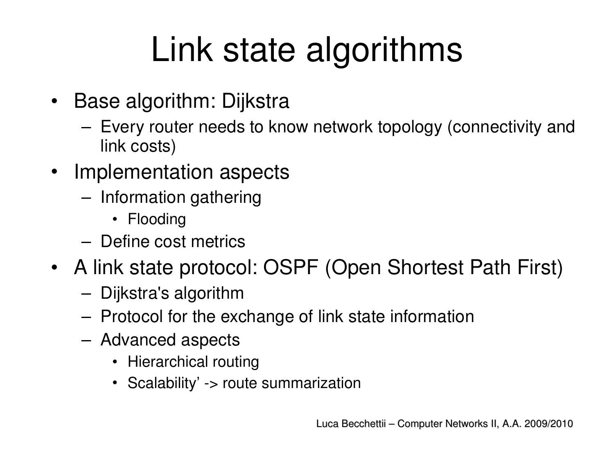## Link state algorithms

- Base algorithm: Dijkstra
	- Every router needs to know network topology (connectivity and link costs)
- Implementation aspects
	- Information gathering
		- Flooding
	- Define cost metrics
- A link state protocol: OSPF (Open Shortest Path First)
	- Dijkstra's algorithm
	- Protocol for the exchange of link state information
	- Advanced aspects
		- Hierarchical routing
		- Scalability' -> route summarization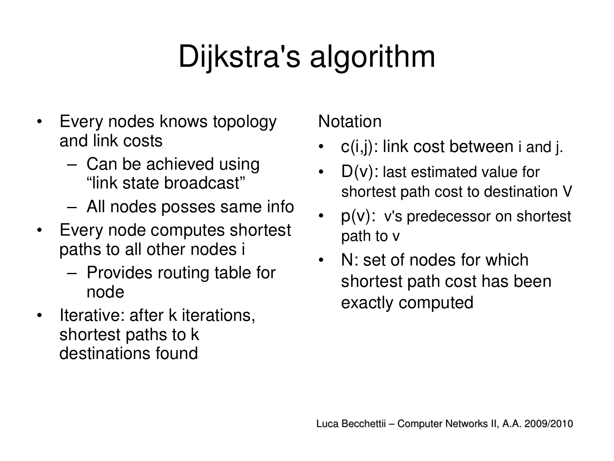### Dijkstra's algorithm

- Every nodes knows topology and link costs
	- Can be achieved using "link state broadcast"
	- All nodes posses same info
- Every node computes shortest paths to all other nodes i
	- Provides routing table for node
- Iterative: after k iterations, shortest paths to k destinations found

#### Notation

- $c(i,j)$ : link cost between i and j.
- $D(v)$ : last estimated value for shortest path cost to destination V
- $p(v)$ : v's predecessor on shortest path to v
- N: set of nodes for which shortest path cost has been exactly computed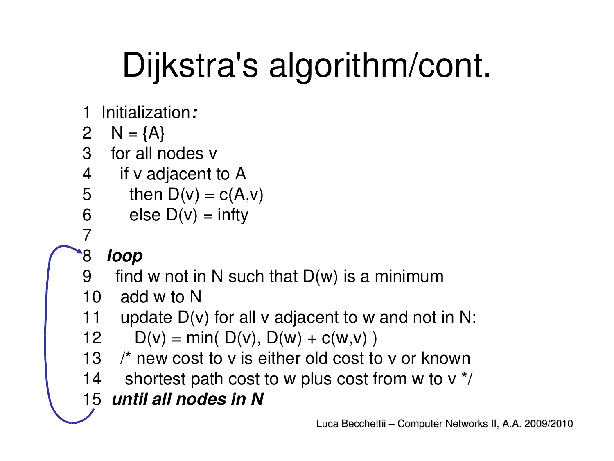## Dijkstra's algorithm/cont.

- 1 Initialization*:*
- 2  $N = \{A\}$
- 3 for all nodes v
- 4 if v adjacent to A
- 5 then  $D(v) = c(A,v)$
- 6 else D(v) = infty
- 7

#### 8 *loop*

- 9 find w not in N such that  $D(w)$  is a minimum
- 10 add w to N
- 11 update  $D(v)$  for all v adjacent to w and not in N:

12 
$$
D(v) = min(D(v), D(w) + c(w, v))
$$

- 13 /\* new cost to v is either old cost to v or known
- 14 shortest path cost to w plus cost from w to  $v^*$
- 15 *until all nodes in N*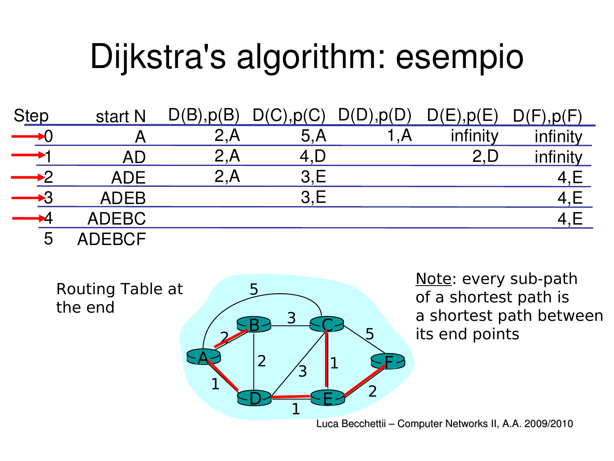## Dijkstra's algorithm: esempio

| <b>Step</b> | start N       | D(B), p(B) | D(C), p(C) | D(D), p(D) | D(E), p(E) | D(F), p(F) |
|-------------|---------------|------------|------------|------------|------------|------------|
|             | Α             | 2,A        | 5,A        | 1.A        | infinity   | infinity   |
|             | AD            | 2, A       | 4,D        |            | 2,D        | infinity   |
|             | <b>ADE</b>    | 2,A        | 3.E        |            |            |            |
|             | <b>ADEB</b>   |            | 3.E        |            |            | 4,E        |
|             | <b>ADEBC</b>  |            |            |            |            |            |
| 5           | <b>ADEBCF</b> |            |            |            |            |            |

**SA**  $D \leftarrow \frac{1}{1}$  E <u>B3 - EC</u> F 2 2 1 3 1 1 2 5 3 Routing Table at the end

Note: every sub-path of a shortest path is a shortest path between its end points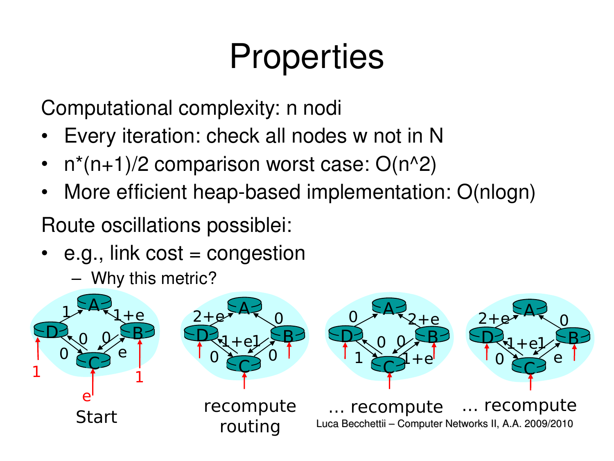## **Properties**

Computational complexity: n nodi

- Every iteration: check all nodes w not in N
- $n^{*}(n+1)/2$  comparison worst case:  $O(n^{2})$
- More efficient heap-based implementation: O(nlogn)

Route oscillations possiblei:

- e.g., link cost = congestion
	- Why this metric?

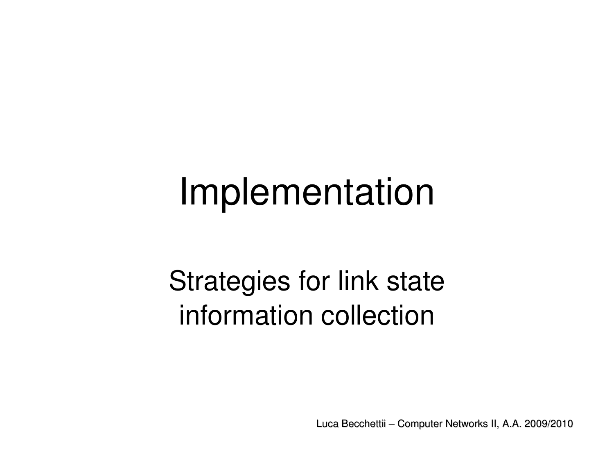## Implementation

### Strategies for link state information collection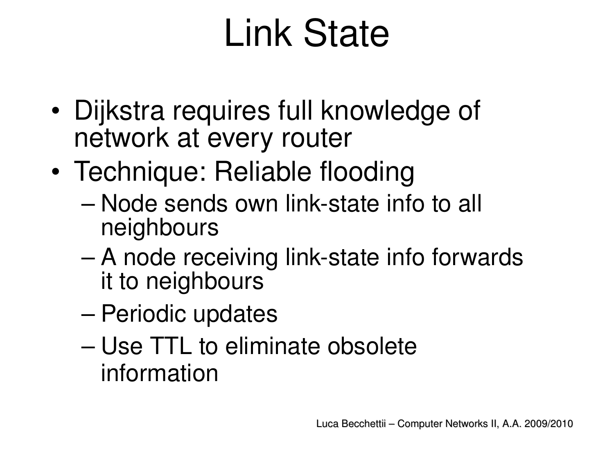# Link State

- Dijkstra requires full knowledge of network at every router
- Technique: Reliable flooding
	- Node sends own link-state info to all neighbours
	- A node receiving link-state info forwards it to neighbours
	- Periodic updates
	- Use TTL to eliminate obsolete information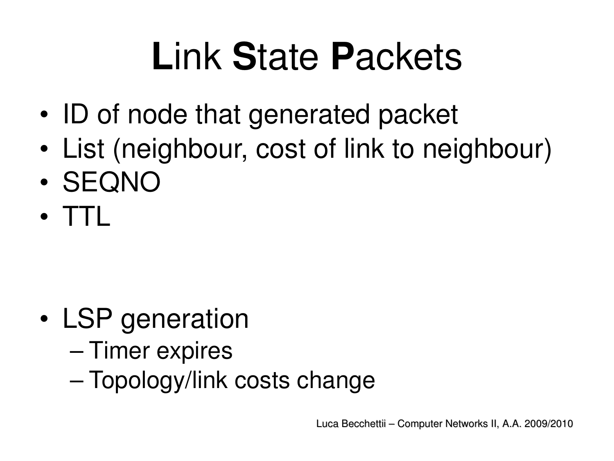# **L**ink **S**tate **P**ackets

- ID of node that generated packet
- List (neighbour, cost of link to neighbour)
- SEQNO
- TTL

- LSP generation
	- Timer expires
	- Topology/link costs change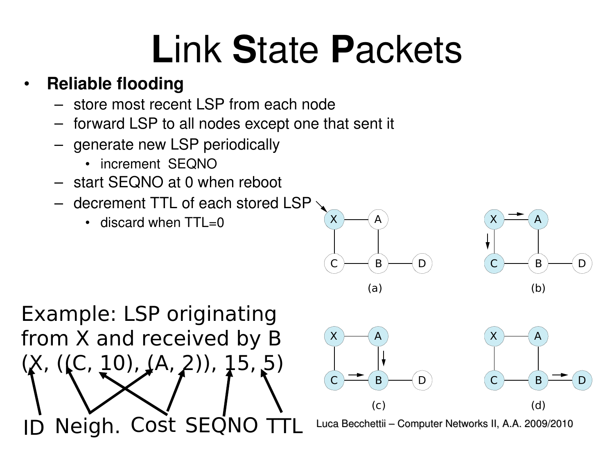# **L**ink **S**tate **P**ackets

#### • **Reliable flooding**

- store most recent LSP from each node
- forward LSP to all nodes except one that sent it
- generate new LSP periodically
	- increment SEQNO
- start SEQNO at 0 when reboot
- decrement TTL of each stored LSP
	- $\cdot$  discard when TTL=0







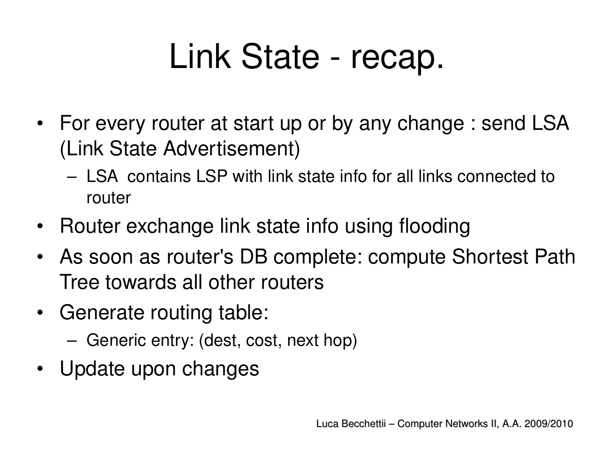## Link State - recap.

- For every router at start up or by any change : send LSA (Link State Advertisement)
	- LSA contains LSP with link state info for all links connected to router
- Router exchange link state info using flooding
- As soon as router's DB complete: compute Shortest Path Tree towards all other routers
- Generate routing table:
	- Generic entry: (dest, cost, next hop)
- Update upon changes